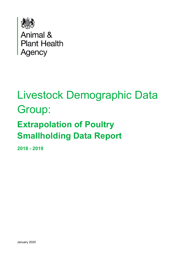

**Animal &<br>Plant Health Agency** 

# Livestock Demographic Data Group:

## **Extrapolation of Poultry Smallholding Data Report**

**2018 - 2019**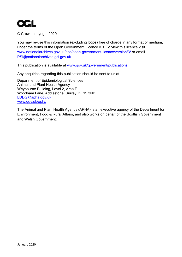

© Crown copyright 2020

You may re-use this information (excluding logos) free of charge in any format or medium, under the terms of the Open Government Licence v.3. To view this licence visit [www.nationalarchives.gov.uk/doc/open-government-licence/version/3/](http://www.nationalarchives.gov.uk/doc/open-government-licence/version/3/) or email [PSI@nationalarchives.gsi.gov.uk](mailto:PSI@nationalarchives.gsi.gov.uk) 

This publication is available at [www.gov.uk/government/publications](http://www.gov.uk/government/publications) 

Any enquiries regarding this publication should be sent to us at

Department of Epidemiological Sciences Animal and Plant Health Agency Weybourne Building, Level 2, Area F Woodham Lane, Addlestone, Surrey, KT15 3NB [LDDG@apha.gov.uk](mailto:TBSecretariat@apha.gsi.gov.uk) [www.gov.uk/apha](http://www.gov.uk/apha) 

The Animal and Plant Health Agency (APHA) is an executive agency of the Department for Environment, Food & Rural Affairs, and also works on behalf of the Scottish Government and Welsh Government.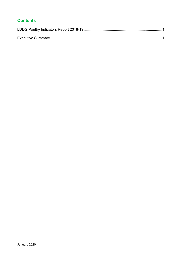#### **Contents**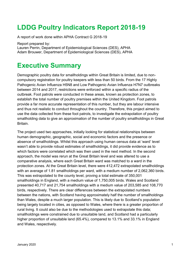## <span id="page-3-0"></span>**LDDG Poultry Indicators Report 2018-19**

A report of work done within APHA Contract G 2018-19

Report prepared by:

Lauren Perrin, Department of Epidemiological Sciences (DES), APHA Adam Brouwer, Department of Epidemiological Sciences (DES), APHA

### <span id="page-3-1"></span>**Executive Summary**

Demographic poultry data for smallholdings within Great Britain is limited, due to noncompulsory registration for poultry keepers with less than 50 birds. From the 17 Highly Pathogenic Avian Influenza H5N8 and Low Pathogenic Avian Influenza H7N7 outbreaks between 2014 and 2017, restrictions were enforced within a specific radius of the outbreak. Foot patrols were conducted in these areas, known as protection zones, to establish the total number of poultry premises within the United Kingdom. Foot patrols provide a far more accurate representation of this number, but they are labour intensive and thus not realistic to conduct throughout the country. Therefore, this project aimed to use the data collected from these foot patrols, to investigate the extrapolation of poultry smallholding data to give an approximation of the number of poultry smallholdings in Great **Britain** 

The project used two approaches, initially looking for statistical relationships between human demographic, geographic, social and economic factors and the presence or absence of smallholdings. Whilst this approach using human census data at 'ward' level wasn't able to provide robust estimates of smallholdings, it did provide evidence as to which factors were correlated which was then used in the next method. In the second approach, the model was rerun at the Great Britain level and was altered to use a comparative analysis, where each Great Britain ward was matched to a ward in the protection zones. At the Great Britain level, there were 412,472 extrapolated smallholdings with an average of 1.81 smallholdings per ward, with a medium number of 2,062,360 birds. This was extrapolated to the county level, proving a total estimate of 350,001 smallholdings in England, with a medium value of 1,750,005 birds. Wales and Scotland presented 40,717 and 21,754 smallholdings with a medium value of 203,585 and 108,770 birds, respectively. There are clear differences between the extrapolated numbers between the nations, with Scotland having approximately half the number of smallholdings than Wales, despite a much larger population. This is likely due to Scotland's population being largely located in cities, as opposed to Wales, where there is a greater proportion of rural living. It could also be due to the methodologies used to extrapolate this data; smallholdings were constrained due to unsuitable land, and Scotland had a particularly higher proportion of unsuitable land (65.4%), compared to 13.1% and 33.1% in England and Wales, respectively.